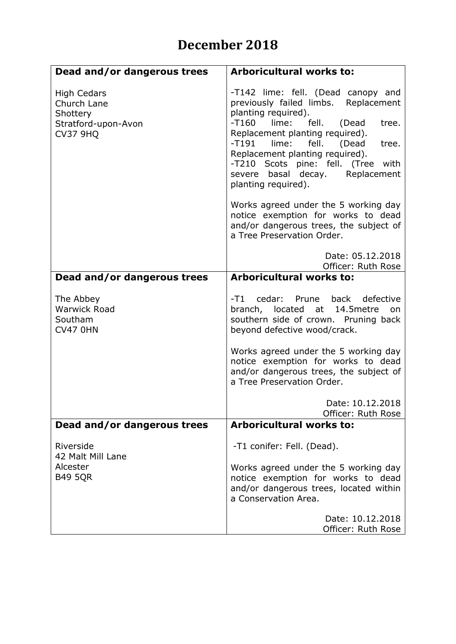## **December 2018**

| Dead and/or dangerous trees                                                             | <b>Arboricultural works to:</b>                                                                                                                                                                                                                                                                                                                                       |
|-----------------------------------------------------------------------------------------|-----------------------------------------------------------------------------------------------------------------------------------------------------------------------------------------------------------------------------------------------------------------------------------------------------------------------------------------------------------------------|
| <b>High Cedars</b><br>Church Lane<br>Shottery<br>Stratford-upon-Avon<br><b>CV37 9HQ</b> | -T142 lime: fell. (Dead canopy and<br>previously failed limbs. Replacement<br>planting required).<br>lime:<br>fell.<br>$-T160$<br>tree.<br>(Dead<br>Replacement planting required).<br>$-T191$<br>lime:<br>fell. (Dead<br>tree.<br>Replacement planting required).<br>-T210 Scots pine: fell. (Tree with<br>basal decay. Replacement<br>severe<br>planting required). |
|                                                                                         | Works agreed under the 5 working day<br>notice exemption for works to dead<br>and/or dangerous trees, the subject of<br>a Tree Preservation Order.                                                                                                                                                                                                                    |
|                                                                                         | Date: 05.12.2018<br>Officer: Ruth Rose                                                                                                                                                                                                                                                                                                                                |
| Dead and/or dangerous trees                                                             | <b>Arboricultural works to:</b>                                                                                                                                                                                                                                                                                                                                       |
| The Abbey<br><b>Warwick Road</b><br>Southam<br><b>CV47 0HN</b>                          | cedar: Prune back defective<br>-T1<br>branch, located at 14.5 metre<br>on<br>southern side of crown. Pruning back<br>beyond defective wood/crack.                                                                                                                                                                                                                     |
|                                                                                         | Works agreed under the 5 working day<br>notice exemption for works to dead<br>and/or dangerous trees, the subject of<br>a Tree Preservation Order.                                                                                                                                                                                                                    |
|                                                                                         | Date: 10.12.2018<br>Officer: Ruth Rose                                                                                                                                                                                                                                                                                                                                |
| Dead and/or dangerous trees                                                             | <b>Arboricultural works to:</b>                                                                                                                                                                                                                                                                                                                                       |
| Riverside<br>42 Malt Mill Lane                                                          | -T1 conifer: Fell. (Dead).                                                                                                                                                                                                                                                                                                                                            |
| Alcester<br><b>B49 5QR</b>                                                              | Works agreed under the 5 working day<br>notice exemption for works to dead<br>and/or dangerous trees, located within<br>a Conservation Area.                                                                                                                                                                                                                          |
|                                                                                         | Date: 10.12.2018<br>Officer: Ruth Rose                                                                                                                                                                                                                                                                                                                                |